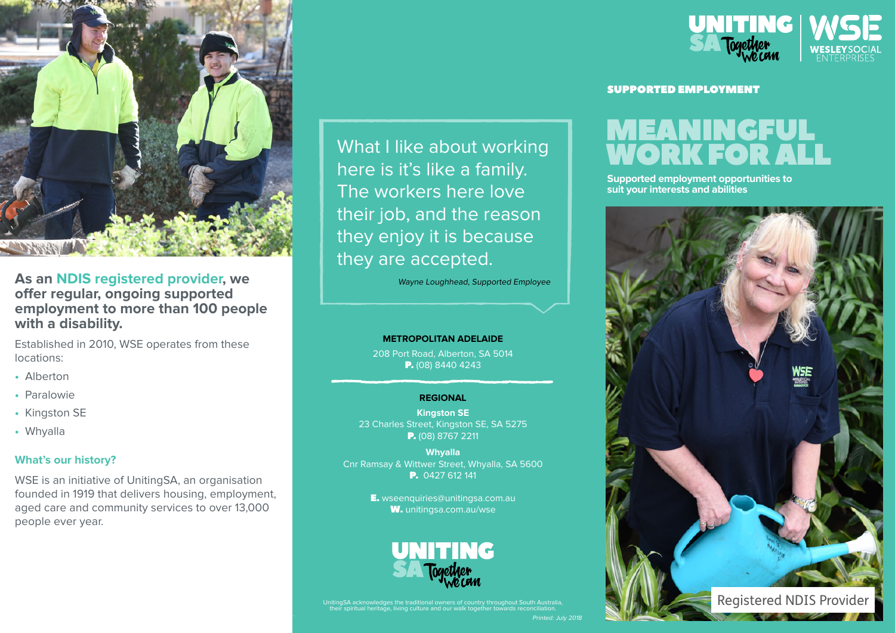

# **As an NDIS registered provider, we offer regular, ongoing supported employment to more than 100 people with a disability.**

Established in 2010, WSE operates from these locations:

- Alberton
- Paralowie
- Kingston SE
- Whyalla

## **What's our history?**

WSE is an initiative of UnitingSA, an organisation founded in 1919 that delivers housing, employment, aged care and community services to over 13,000 people ever year.

What I like about working here is it's like a family. The workers here love their job, and the reason they enjoy it is because they are accepted.

Wayne Loughhead, Supported Employee

#### **METROPOLITAN ADELAIDE**

208 Port Road, Alberton, SA 5014 P. (08) 8440 4243

#### **REGIONAL**

**Kingston SE** 23 Charles Street, Kingston SE, SA 5275 P. (08) 8767 2211

**Whyalla** Cnr Ramsay & Wittwer Street, Whyalla, SA 5600 P. 0427 612 141

> E. wseenquiries@unitingsa.com.au W. unitingsa.com.au/wse



UnitingSA acknowledges the traditional owners of country throughout South Australia, their spiritual heritage, living culture and our walk together towards reconciliation.



#### SUPPORTED EMPLOYMENT

# MEANINGFUL WORK FOR AL

**Supported employment opportunities to suit your interests and abilities**